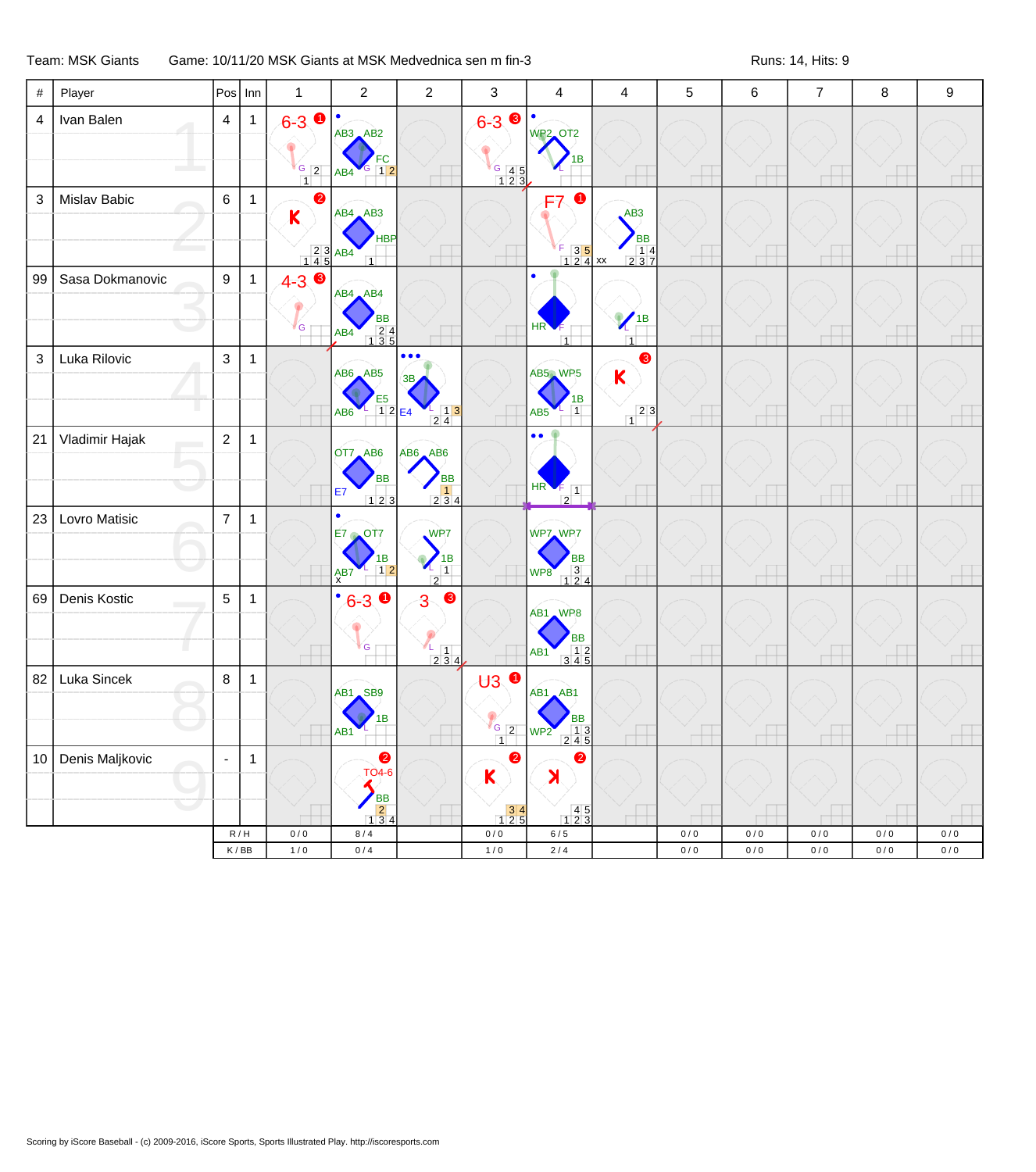## Team: MSK Giants Game: 10/11/20 MSK Giants at MSK Medvednica sen m fin-3 Runs: 14, Hits: 9

| $\#$                    | Player          | Pos   Inn        |                             | $\mathbf{1}$                                                                                           | $\overline{c}$                                                                     | $\boldsymbol{2}$                                                                                         | 3                                                                                                                         | $\overline{4}$                                                                                                                                                                                                                                                                                                                                                                                                                                            | 4                                                                              | 5     | $\,6$     | $\overline{7}$ | 8     | $\boldsymbol{9}$ |
|-------------------------|-----------------|------------------|-----------------------------|--------------------------------------------------------------------------------------------------------|------------------------------------------------------------------------------------|----------------------------------------------------------------------------------------------------------|---------------------------------------------------------------------------------------------------------------------------|-----------------------------------------------------------------------------------------------------------------------------------------------------------------------------------------------------------------------------------------------------------------------------------------------------------------------------------------------------------------------------------------------------------------------------------------------------------|--------------------------------------------------------------------------------|-------|-----------|----------------|-------|------------------|
| $\overline{\mathbf{4}}$ | Ivan Balen      | $\overline{4}$   | $\mathbf{1}$                | $6 - 3$ O<br>$\begin{array}{c c} G & 2 \\ \hline 1 & \end{array}$                                      | $\bullet$<br>AB3 AB2<br>$G \mid 12$<br>AB4                                         |                                                                                                          | $\bullet$<br>$6 - 3$<br>$\begin{array}{c} \begin{array}{ c} \hline \text{G} & 4 & 5 \\ 1 & 2 & 3 \end{array} \end{array}$ | $\bullet$<br><b>WP2_OT2</b>                                                                                                                                                                                                                                                                                                                                                                                                                               |                                                                                |       |           |                |       |                  |
| $\mathbf{3}$            | Mislav Babic    | 6                | $\mathbf{1}$                | $\bullet$<br>K<br>$\begin{array}{ c c c }\n\hline\n & 2 & 3 & AB4 \\ \hline\n1 & 4 & 5 &\n\end{array}$ | $AB4$ $AB3$<br>HBP                                                                 |                                                                                                          |                                                                                                                           | F7<br>F.<br>$\begin{array}{ c c c }\nF & 3 & 5 \\ 1 & 2 & 4\n\end{array}$ xx                                                                                                                                                                                                                                                                                                                                                                              | AB3<br><b>BB</b><br>$\begin{array}{ c c c }\n\hline\n&14 \\ 237\n\end{array}$  |       |           |                |       |                  |
| 99                      | Sasa Dokmanovic | $\boldsymbol{9}$ | $\mathbf{1}$                | $\bullet$<br>$4 - 3$<br>G                                                                              | $AB4$ $AB4$<br>ВB<br>$\begin{array}{c} 24 \\ 135 \end{array}$<br>AB4               |                                                                                                          |                                                                                                                           | HR <sup>'</sup><br>$\overline{1}$                                                                                                                                                                                                                                                                                                                                                                                                                         | $\sqrt{\frac{1}{B}}$<br>$\overline{1}$                                         |       |           |                |       |                  |
| $\mathfrak{S}$          | Luka Rilovic    | 3                | $\mathbf{1}$                |                                                                                                        | AB6 AB5<br>E <sub>5</sub><br>12E<br>AB <sub>6</sub>                                | $\bullet\bullet\bullet$<br>$\begin{array}{c} 1 \overline{\smash)3} \\ 2 \overline{\smash)4} \end{array}$ |                                                                                                                           | AB5 WP5<br>1В<br>$\overline{1}$<br>AB <sub>5</sub>                                                                                                                                                                                                                                                                                                                                                                                                        | $\bullet$<br>$\mathbf K$<br>$\begin{array}{ c c }\n\hline\n2 & 3\n\end{array}$ |       |           |                |       |                  |
| 21                      | Vladimir Hajak  | $\overline{2}$   | $\mathbf{1}$                |                                                                                                        | OT7 AB6<br><b>BB</b><br>E7<br>123                                                  | AB6 AB6<br><b>BB</b><br>1<br>2 3 4                                                                       |                                                                                                                           | $\bullet$<br>$\frac{\text{HR} \cdot \frac{1}{2}}{2}$                                                                                                                                                                                                                                                                                                                                                                                                      |                                                                                |       |           |                |       |                  |
| 23                      | Lovro Matisic   | $\overline{7}$   | $\mathbf{1}$                |                                                                                                        | $\bullet$<br>OT7<br>$E7 \rightarrow$<br>ΙB<br>$1\overline{2}$<br>A <sub>X</sub> B7 | WP7<br>1B<br>┸<br>$\overline{1}$<br>2                                                                    |                                                                                                                           | WP7 WP7<br>BB<br>3<br>124<br>WP8                                                                                                                                                                                                                                                                                                                                                                                                                          |                                                                                |       |           |                |       |                  |
| 69                      | Denis Kostic    | 5                | $\mathbf{1}$                |                                                                                                        | $\bullet$<br>$6 - 3$ 0<br><b>G</b>                                                 | $\bullet$<br>3<br>4<br>$\begin{bmatrix} 1 \\ 2 & 3 & 4 \end{bmatrix}$                                    |                                                                                                                           | AB1 WP8<br><b>BB</b><br>$\begin{array}{@{}c@{\hspace{1em}}c@{\hspace{1em}}c@{\hspace{1em}}c@{\hspace{1em}}c@{\hspace{1em}}c@{\hspace{1em}}c@{\hspace{1em}}c@{\hspace{1em}}c@{\hspace{1em}}c@{\hspace{1em}}c@{\hspace{1em}}c@{\hspace{1em}}c@{\hspace{1em}}c@{\hspace{1em}}c@{\hspace{1em}}c@{\hspace{1em}}c@{\hspace{1em}}c@{\hspace{1em}}c@{\hspace{1em}}c@{\hspace{1em}}c@{\hspace{1em}}c@{\hspace{1em}}c@{\hspace{1em}}c@{\hspace{$<br>AB <sub>1</sub> |                                                                                |       |           |                |       |                  |
| 82                      | Luka Sincek     | $\,8\,$          | $\mathbf{1}$                |                                                                                                        | AB1 SB9<br>ΙB<br>AB <sub>1</sub>                                                   |                                                                                                          | $\overline{43}$ o<br>$\frac{1}{\frac{6}{2}}$<br>$\overline{1}$                                                            | $AB1$ $AB1$<br>ВB<br>$\begin{array}{ c c c }\n\hline\n& 1 & 3 \\ \hline\n2 & 4 & 5\n\end{array}$<br>WP2                                                                                                                                                                                                                                                                                                                                                   |                                                                                |       |           |                |       |                  |
| 10                      | Denis Maljkovic | $\blacksquare$   | $\mathbf{1}$                |                                                                                                        | 2<br><b>TO4-6</b><br><b>BB</b><br>$\overline{2}$<br>134                            |                                                                                                          | $\bullet$<br>Κ<br>$\begin{array}{c} 34 \\ 125 \end{array}$                                                                | $\bullet$<br>X<br>$\begin{array}{c} 45 \\ 123 \end{array}$                                                                                                                                                                                                                                                                                                                                                                                                |                                                                                |       |           |                |       |                  |
|                         |                 | R/H              |                             | $0/0$                                                                                                  | 8/4                                                                                |                                                                                                          | $0/0$                                                                                                                     | 6/5                                                                                                                                                                                                                                                                                                                                                                                                                                                       |                                                                                | $0/0$ | 0/0       | 0/0            | $0/0$ | 0/0              |
|                         |                 |                  | $\mathsf K\,/\,\mathsf{BB}$ | $1/0$                                                                                                  | $0/4$                                                                              |                                                                                                          | $1/0$                                                                                                                     | $2/4$                                                                                                                                                                                                                                                                                                                                                                                                                                                     |                                                                                | $0/0$ | $0\,/\,0$ | $0/0$          | $0/0$ | 0/0              |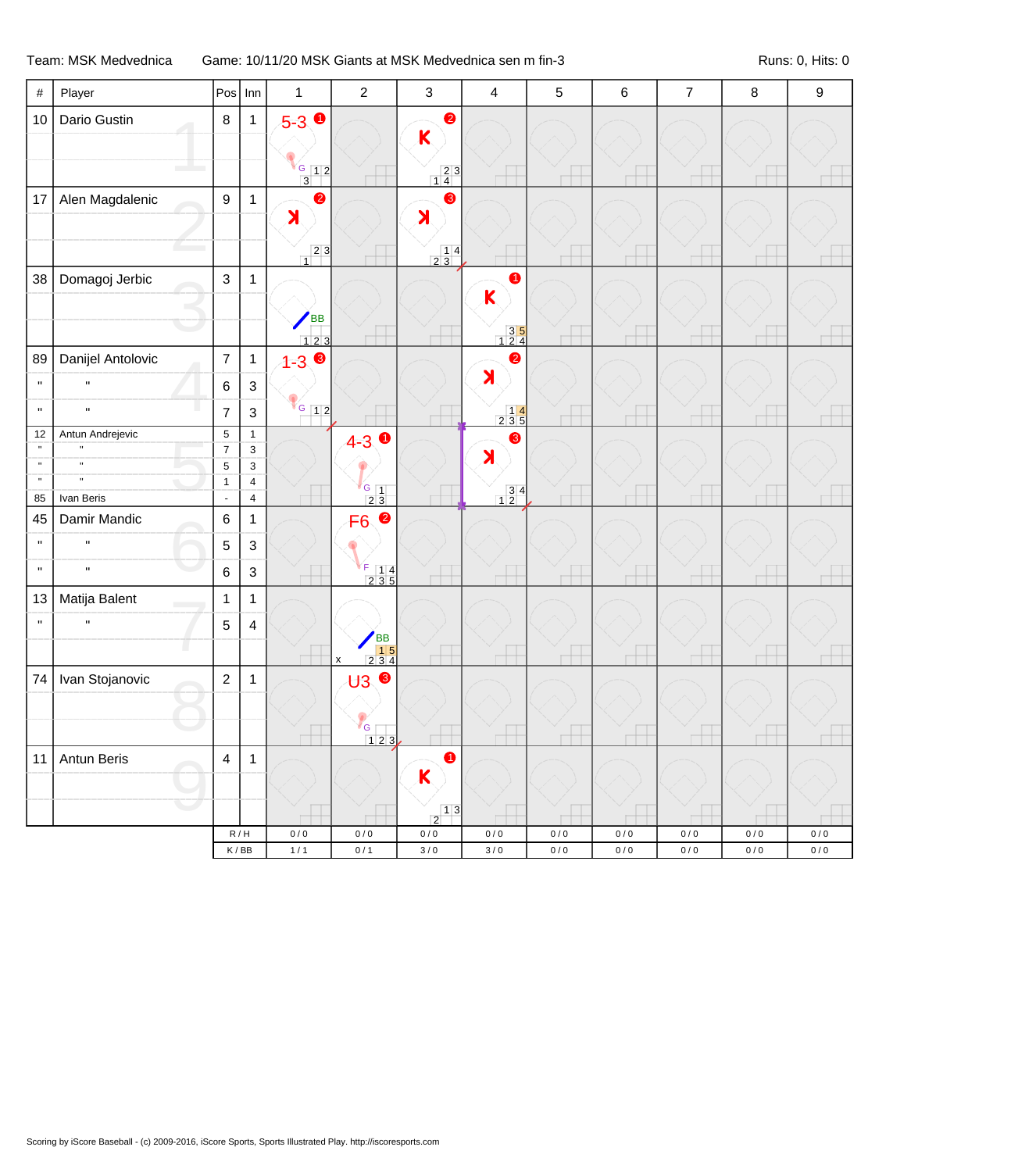## Team: MSK Medvednica Game: 10/11/20 MSK Giants at MSK Medvednica sen m fin-3 Runs: 0, Hits: 0

| $\#$                        | Player                       |                          | $Pos$ Inn                          | $\mathbf{1}$                           | $\overline{2}$                                                                                 | $\mathbf{3}$                                    | $\overline{4}$                                                  | 5                  | 6                | $\boldsymbol{7}$ | 8            | $\boldsymbol{9}$ |
|-----------------------------|------------------------------|--------------------------|------------------------------------|----------------------------------------|------------------------------------------------------------------------------------------------|-------------------------------------------------|-----------------------------------------------------------------|--------------------|------------------|------------------|--------------|------------------|
| 10                          | Dario Gustin                 | $\bf 8$                  | $\mathbf{1}$                       | $5 - 3$ 0                              |                                                                                                | $\bullet$                                       |                                                                 |                    |                  |                  |              |                  |
|                             |                              |                          |                                    |                                        |                                                                                                | K                                               |                                                                 |                    |                  |                  |              |                  |
|                             |                              |                          |                                    | $\frac{6}{3}$ 1 2                      |                                                                                                | $\begin{array}{c c} 2 & 3 \\ 1 & 4 \end{array}$ |                                                                 |                    |                  |                  |              |                  |
| 17                          | Alen Magdalenic              | $\boldsymbol{9}$         | $\mathbf{1}$                       | $\bullet$                              |                                                                                                | ❸                                               |                                                                 |                    |                  |                  |              |                  |
|                             |                              |                          |                                    | $\blacktriangleright$                  |                                                                                                | $\blacktriangleright$                           |                                                                 |                    |                  |                  |              |                  |
|                             |                              |                          |                                    | $\begin{array}{c c} 2 & 3 \end{array}$ |                                                                                                | $\frac{14}{23}$                                 |                                                                 |                    |                  |                  |              |                  |
| 38                          | Domagoj Jerbic               | $\mathsf 3$              | $\mathbf{1}$                       |                                        |                                                                                                |                                                 | $\bullet$                                                       |                    |                  |                  |              |                  |
|                             |                              |                          |                                    |                                        |                                                                                                |                                                 | K                                                               |                    |                  |                  |              |                  |
|                             |                              |                          |                                    | <b>BB</b>                              |                                                                                                |                                                 | $\begin{array}{c} 35 \\ 124 \end{array}$                        |                    |                  |                  |              |                  |
| 89                          | Danijel Antolovic            | $\overline{7}$           | $\overline{1}$                     | 123<br>$1 - 3$ 8                       |                                                                                                |                                                 | $\bullet$                                                       |                    |                  |                  |              |                  |
| $\mathbf H$                 | $\mathbf{u}$                 | $\,6$                    | $\sqrt{3}$                         |                                        |                                                                                                |                                                 | $\blacktriangleright$                                           |                    |                  |                  |              |                  |
| $\mathbf{H}$                | $\mathbf{u}$                 | $\overline{7}$           | $\mathsf 3$                        | $G$ 12                                 |                                                                                                |                                                 | $\begin{array}{c c} & 14 \\ 235 \end{array}$                    |                    |                  |                  |              |                  |
| 12                          | Antun Andrejevic             | $\,$ 5 $\,$              | $\mathbf{1}$                       |                                        |                                                                                                |                                                 | ❸                                                               |                    |                  |                  |              |                  |
| $\mathbf{u}$                | $\mathbf{u}$                 | $\boldsymbol{7}$         | $\mathbf{3}$                       |                                        | $4-3$ $\bullet$                                                                                |                                                 | $\blacktriangleright$                                           |                    |                  |                  |              |                  |
| $\mathbf n$<br>$\mathbf{u}$ | $\mathbf{u}$<br>$\mathbf{u}$ | $\mathbf 5$              | 3                                  |                                        |                                                                                                |                                                 |                                                                 |                    |                  |                  |              |                  |
| 85                          | Ivan Beris                   | $\mathbf{1}$<br>$\omega$ | $\overline{4}$<br>$\overline{4}$   |                                        | $\frac{G}{2}$ $\frac{1}{3}$                                                                    |                                                 | $\begin{array}{ c c }\n 3 & 4 \\  \hline\n 1 & 2\n \end{array}$ |                    |                  |                  |              |                  |
| 45                          | Damir Mandic                 | $\,6$                    | $\mathbf{1}$                       |                                        | 2<br>F <sub>6</sub>                                                                            |                                                 |                                                                 |                    |                  |                  |              |                  |
| $\mathbf{H}$                | $\mathbf{H}$                 | 5                        | $\mathfrak{Z}$                     |                                        |                                                                                                |                                                 |                                                                 |                    |                  |                  |              |                  |
| $\mathbf{H}$                | $\mathbf{u}$                 | $\,6$                    | $\sqrt{3}$                         |                                        | $\begin{array}{ c c c }\n\hline\n\text{F} & 1 & 4 \\ \hline\n2 & 3 & 5 \\ \hline\n\end{array}$ |                                                 |                                                                 |                    |                  |                  |              |                  |
| 13                          | Matija Balent                | $\mathbf{1}$             | $\mathbf{1}$                       |                                        |                                                                                                |                                                 |                                                                 |                    |                  |                  |              |                  |
| $\mathbf{H}$                | $\mathbf H$                  | $\mathbf 5$              | $\overline{4}$                     |                                        |                                                                                                |                                                 |                                                                 |                    |                  |                  |              |                  |
|                             |                              |                          |                                    |                                        | <b>BB</b><br>$\begin{array}{ c c c }\n\hline\n&15 \\ 234\n\end{array}$                         |                                                 |                                                                 |                    |                  |                  |              |                  |
| 74                          | Ivan Stojanovic              | $\sqrt{2}$               | $\mathbf{1}$                       |                                        | $\pmb{\mathsf{x}}$<br>❸<br>U3                                                                  |                                                 |                                                                 |                    |                  |                  |              |                  |
|                             |                              |                          |                                    |                                        |                                                                                                |                                                 |                                                                 |                    |                  |                  |              |                  |
|                             |                              |                          |                                    |                                        | 'G                                                                                             |                                                 |                                                                 |                    |                  |                  |              |                  |
| 11                          | Antun Beris                  | $\overline{4}$           | $\mathbf{1}$                       |                                        | $123$                                                                                          | $\bullet$                                       |                                                                 |                    |                  |                  |              |                  |
|                             |                              |                          |                                    |                                        |                                                                                                | K                                               |                                                                 |                    |                  |                  |              |                  |
|                             |                              |                          |                                    |                                        |                                                                                                |                                                 |                                                                 |                    |                  |                  |              |                  |
|                             |                              |                          |                                    |                                        |                                                                                                | $\frac{1}{2}$ <sup>1</sup>                      |                                                                 |                    |                  |                  |              |                  |
|                             |                              |                          | R/H<br>$\mathsf K\,/\,\mathsf{BB}$ | 0/0<br>$1/1$                           | $0/0$<br>$0/1$                                                                                 | $0\,/\,0$<br>$3\,/\,0$                          | 0/0<br>$3/0$                                                    | $0/0$<br>$0\,/\,0$ | 0/0<br>$0\,/\,0$ | 0/0<br>$0\,/\,0$ | 0/0<br>$0/0$ | $0/0$<br>$0/0$   |